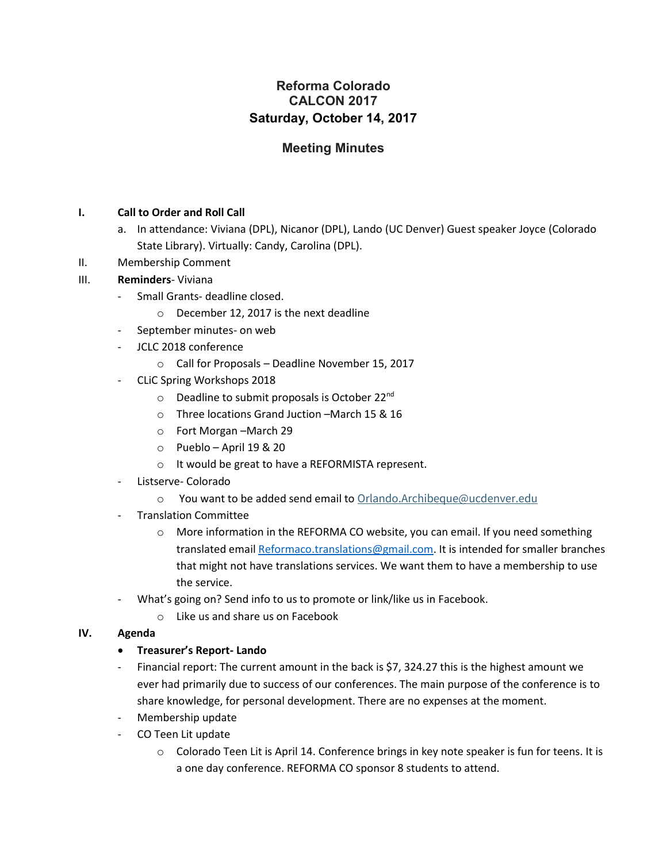# **Reforma Colorado CALCON 2017 Saturday, October 14, 2017**

# **Meeting Minutes**

## **I. Call to Order and Roll Call**

- a. In attendance: Viviana (DPL), Nicanor (DPL), Lando (UC Denver) Guest speaker Joyce (Colorado State Library). Virtually: Candy, Carolina (DPL).
- II. Membership Comment

### III. **Reminders**- Viviana

- Small Grants- deadline closed.
	- o December 12, 2017 is the next deadline
- September minutes- on web
- JCLC 2018 conference
	- o Call for Proposals Deadline November 15, 2017
- CLiC Spring Workshops 2018
	- $\circ$  Deadline to submit proposals is October 22<sup>nd</sup>
	- o Three locations Grand Juction –March 15 & 16
	- o Fort Morgan –March 29
	- o Pueblo April 19 & 20
	- o It would be great to have a REFORMISTA represent.
- Listserve- Colorado
	- o You want to be added send email to [Orlando.Archibeque@ucdenver.edu](mailto:Orlando.Archibeque@ucdenver.edu)
- Translation Committee
	- o More information in the REFORMA CO website, you can email. If you need something translated email [Reformaco.translations@gmail.com.](mailto:Reformaco.translations@gmail.com) It is intended for smaller branches that might not have translations services. We want them to have a membership to use the service.
- What's going on? Send info to us to promote or link/like us in Facebook.
	- o Like us and share us on Facebook

#### **IV. Agenda**

#### **Treasurer's Report- Lando**

- Financial report: The current amount in the back is \$7, 324.27 this is the highest amount we ever had primarily due to success of our conferences. The main purpose of the conference is to share knowledge, for personal development. There are no expenses at the moment.
- Membership update
- CO Teen Lit update
	- o Colorado Teen Lit is April 14. Conference brings in key note speaker is fun for teens. It is a one day conference. REFORMA CO sponsor 8 students to attend.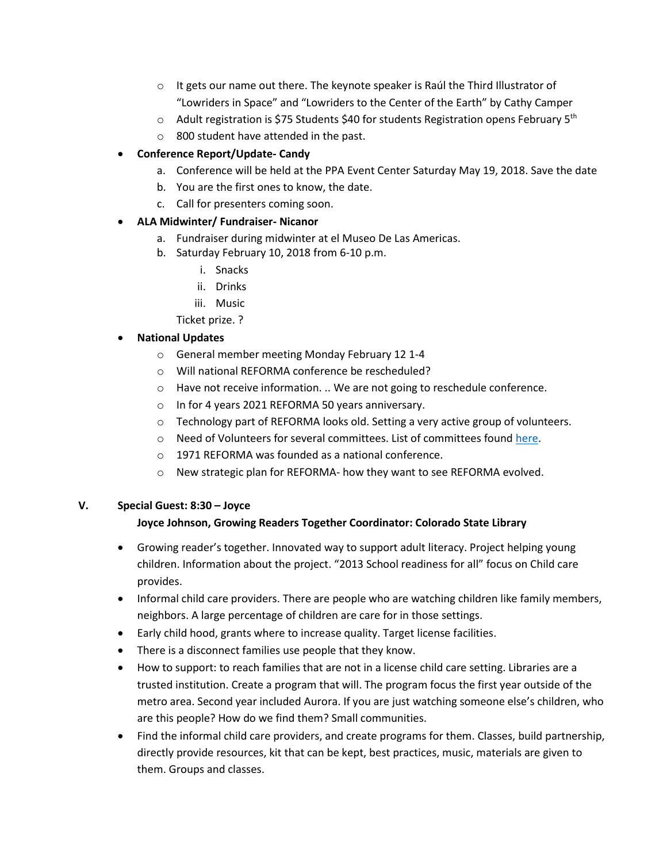- $\circ$  It gets our name out there. The keynote speaker is Raúl the Third Illustrator of "Lowriders in Space" and "Lowriders to the Center of the Earth" by Cathy Camper
- $\circ$  Adult registration is \$75 Students \$40 for students Registration opens February 5<sup>th</sup>
- o 800 student have attended in the past.

## **Conference Report/Update- Candy**

- a. Conference will be held at the PPA Event Center Saturday May 19, 2018. Save the date
- b. You are the first ones to know, the date.
- c. Call for presenters coming soon.

### **ALA Midwinter/ Fundraiser- Nicanor**

- a. Fundraiser during midwinter at el Museo De Las Americas.
- b. Saturday February 10, 2018 from 6-10 p.m.
	- i. Snacks
	- ii. Drinks
	- iii. Music
	- Ticket prize. ?

## **National Updates**

- o General member meeting Monday February 12 1-4
- o Will national REFORMA conference be rescheduled?
- o Have not receive information. .. We are not going to reschedule conference.
- o In for 4 years 2021 REFORMA 50 years anniversary.
- $\circ$  Technology part of REFORMA looks old. Setting a very active group of volunteers.
- o Need of Volunteers for several committees. List of committees found [here.](http://www.reforma.org/committees)
- o 1971 REFORMA was founded as a national conference.
- o New strategic plan for REFORMA- how they want to see REFORMA evolved.

#### **V. Special Guest: 8:30 – Joyce**

## **Joyce Johnson, Growing Readers Together Coordinator: Colorado State Library**

- Growing reader's together. Innovated way to support adult literacy. Project helping young children. Information about the project. "2013 School readiness for all" focus on Child care provides.
- Informal child care providers. There are people who are watching children like family members, neighbors. A large percentage of children are care for in those settings.
- Early child hood, grants where to increase quality. Target license facilities.
- There is a disconnect families use people that they know.
- How to support: to reach families that are not in a license child care setting. Libraries are a trusted institution. Create a program that will. The program focus the first year outside of the metro area. Second year included Aurora. If you are just watching someone else's children, who are this people? How do we find them? Small communities.
- Find the informal child care providers, and create programs for them. Classes, build partnership, directly provide resources, kit that can be kept, best practices, music, materials are given to them. Groups and classes.